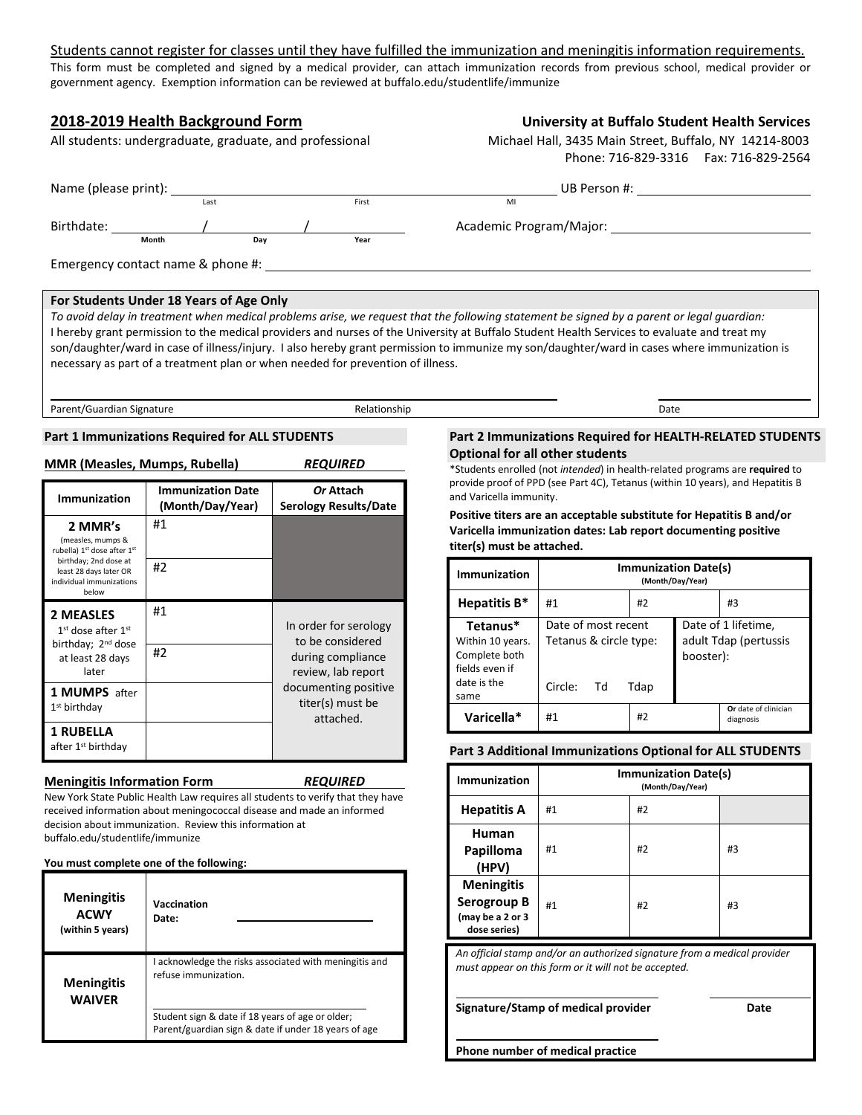# Students cannot register for classes until they have fulfilled the immunization and meningitis information requirements.

This form must be completed and signed by a medical provider, can attach immunization records from previous school, medical provider or government agency. Exemption information can be reviewed at buffalo.edu/studentlife/immunize

# **2018-2019 Health Background Form University at Buffalo Student Health Services** All students: undergraduate, graduate, and professional Michael Hall, 3435 Main Street, Buffalo, NY 14214-8003 Phone: 716-829-3316 Fax: 716-829-2564 Name (please print): Last Last First MILE UB Person #: Birthdate: / / Academic Program/Major: **Month Day Year** Emergency contact name & phone #: **For Students Under 18 Years of Age Only**

*To avoid delay in treatment when medical problems arise, we request that the following statement be signed by a parent or legal guardian:* I hereby grant permission to the medical providers and nurses of the University at Buffalo Student Health Services to evaluate and treat my son/daughter/ward in case of illness/injury. I also hereby grant permission to immunize my son/daughter/ward in cases where immunization is necessary as part of a treatment plan or when needed for prevention of illness.

Parent/Guardian Signature **Date Communist Communist Communist Communist Communist Communist Communist Communist Communist Communist Communist Communist Communist Communist Communist Communist Communist Communist Communist** 

## **Part 1 Immunizations Required for ALL STUDENTS**

|  | MMR (Measles, Mumps, Rubella) | <b>REQUIRED</b> |
|--|-------------------------------|-----------------|
|  |                               |                 |

| Immunization                                                                                                                                                       | <b>Immunization Date</b><br>(Month/Day/Year) | Or Attach<br><b>Serology Results/Date</b>                                            |
|--------------------------------------------------------------------------------------------------------------------------------------------------------------------|----------------------------------------------|--------------------------------------------------------------------------------------|
| 2 MMR's<br>(measles, mumps &<br>rubella) 1 <sup>st</sup> dose after 1 <sup>st</sup><br>birthday; 2nd dose at<br>least 28 days later OR<br>individual immunizations | #1<br>#2                                     |                                                                                      |
| below                                                                                                                                                              |                                              |                                                                                      |
| <b>2 MEASLES</b><br>$1st$ dose after $1st$<br>birthday; 2 <sup>nd</sup> dose<br>at least 28 days<br>later                                                          | #1<br>#2                                     | In order for serology<br>to be considered<br>during compliance<br>review, lab report |
| <b>1 MUMPS</b> after<br>1 <sup>st</sup> birthday                                                                                                                   |                                              | documenting positive<br>titer(s) must be<br>attached.                                |
| <b>1 RUBELLA</b><br>after 1 <sup>st</sup> birthday                                                                                                                 |                                              |                                                                                      |

#### **Meningitis Information Form** *REQUIRED*

New York State Public Health Law requires all students to verify that they have received information about meningococcal disease and made an informed decision about immunization. Review this information at buffalo.edu/studentlife/immunize

#### **You must complete one of the following:**

| <b>Meningitis</b><br>ACWY<br>(within 5 years) | Vaccination<br>Date:                                                                                                                                                                       |
|-----------------------------------------------|--------------------------------------------------------------------------------------------------------------------------------------------------------------------------------------------|
| <b>Meningitis</b><br><b>WAIVER</b>            | I acknowledge the risks associated with meningitis and<br>refuse immunization.<br>Student sign & date if 18 years of age or older;<br>Parent/guardian sign & date if under 18 years of age |

### **Part 2 Immunizations Required for HEALTH-RELATED STUDENTS Optional for all other students**

\*Students enrolled (not *intended*) in health-related programs are **required** to provide proof of PPD (see Part 4C), Tetanus (within 10 years), and Hepatitis B and Varicella immunity.

**Positive titers are an acceptable substitute for Hepatitis B and/or Varicella immunization dates: Lab report documenting positive titer(s) must be attached.**

| Immunization                                                                           | <b>Immunization Date(s)</b><br>(Month/Day/Year)                        |    |                                                           |                                   |
|----------------------------------------------------------------------------------------|------------------------------------------------------------------------|----|-----------------------------------------------------------|-----------------------------------|
| Hepatitis B*                                                                           | #1                                                                     | #2 |                                                           | #3                                |
| Tetanus*<br>Within 10 years.<br>Complete both<br>fields even if<br>date is the<br>same | Date of most recent<br>Tetanus & circle type:<br>Circle:<br>Tdap<br>Td |    | Date of 1 lifetime,<br>adult Tdap (pertussis<br>booster): |                                   |
| Varicella*                                                                             | #1                                                                     | #2 |                                                           | Or date of clinician<br>diagnosis |

# **Part 3 Additional Immunizations Optional for ALL STUDENTS**

| <b>Immunization</b>                                                  |    | (Month/Day/Year) | <b>Immunization Date(s)</b> |  |
|----------------------------------------------------------------------|----|------------------|-----------------------------|--|
| <b>Hepatitis A</b>                                                   | #1 | #2               |                             |  |
| Human<br>Papilloma<br>(HPV)                                          | #1 | #2               | #3                          |  |
| <b>Meningitis</b><br>Serogroup B<br>(may be a 2 or 3<br>dose series) | #1 | #2               | #3                          |  |

*An official stamp and/or an authorized signature from a medical provider must appear on this form or it will not be accepted.*

**Signature/Stamp of medical provider Date**

**Phone number of medical practice**